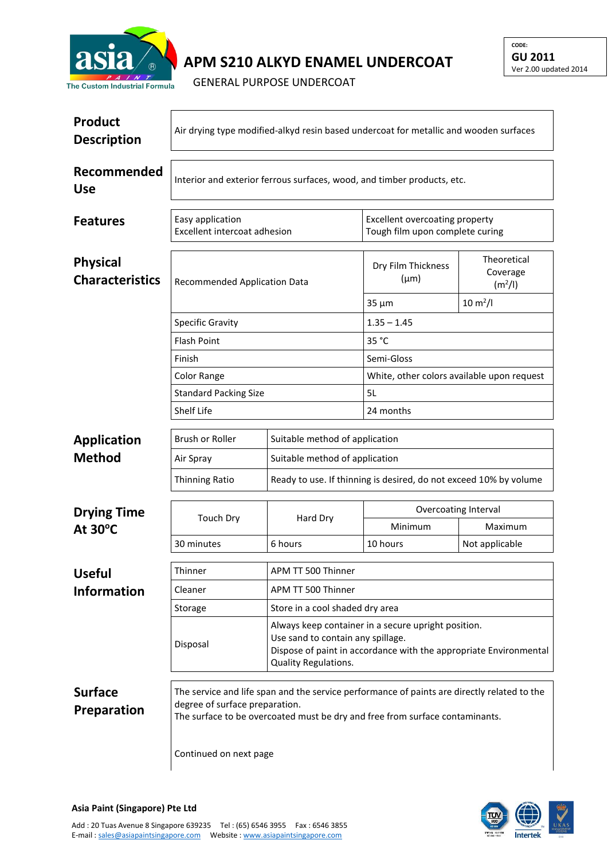

## **APM S210 ALKYD ENAMEL UNDERCOAT**

GENERAL PURPOSE UNDERCOAT

| <b>Product</b><br><b>Description</b>      | Air drying type modified-alkyd resin based undercoat for metallic and wooden surfaces                                                                                                                         |                                                                                                                                |                                                                   |                                                |  |  |
|-------------------------------------------|---------------------------------------------------------------------------------------------------------------------------------------------------------------------------------------------------------------|--------------------------------------------------------------------------------------------------------------------------------|-------------------------------------------------------------------|------------------------------------------------|--|--|
| Recommended<br><b>Use</b>                 | Interior and exterior ferrous surfaces, wood, and timber products, etc.                                                                                                                                       |                                                                                                                                |                                                                   |                                                |  |  |
| <b>Features</b>                           | Easy application<br>Excellent intercoat adhesion                                                                                                                                                              |                                                                                                                                | Excellent overcoating property<br>Tough film upon complete curing |                                                |  |  |
| <b>Physical</b><br><b>Characteristics</b> | <b>Recommended Application Data</b>                                                                                                                                                                           |                                                                                                                                | Dry Film Thickness<br>$(\mu m)$                                   | Theoretical<br>Coverage<br>(m <sup>2</sup> /I) |  |  |
|                                           |                                                                                                                                                                                                               |                                                                                                                                | $35 \mu m$                                                        | $10 \, \text{m}^2$ /l                          |  |  |
|                                           | <b>Specific Gravity</b>                                                                                                                                                                                       |                                                                                                                                | $1.35 - 1.45$                                                     |                                                |  |  |
|                                           | <b>Flash Point</b>                                                                                                                                                                                            |                                                                                                                                | 35 °C                                                             |                                                |  |  |
|                                           | Finish                                                                                                                                                                                                        |                                                                                                                                | Semi-Gloss                                                        |                                                |  |  |
|                                           | <b>Color Range</b>                                                                                                                                                                                            |                                                                                                                                | White, other colors available upon request                        |                                                |  |  |
|                                           | <b>Standard Packing Size</b>                                                                                                                                                                                  |                                                                                                                                | 5L                                                                |                                                |  |  |
|                                           | Shelf Life                                                                                                                                                                                                    | 24 months                                                                                                                      |                                                                   |                                                |  |  |
| <b>Application</b>                        | Brush or Roller                                                                                                                                                                                               | Suitable method of application                                                                                                 |                                                                   |                                                |  |  |
| <b>Method</b>                             | Air Spray                                                                                                                                                                                                     | Suitable method of application                                                                                                 |                                                                   |                                                |  |  |
|                                           | Thinning Ratio                                                                                                                                                                                                | Ready to use. If thinning is desired, do not exceed 10% by volume                                                              |                                                                   |                                                |  |  |
| <b>Drying Time</b>                        | <b>Touch Dry</b>                                                                                                                                                                                              | Hard Dry                                                                                                                       | Overcoating Interval                                              |                                                |  |  |
| At $30^{\circ}$ C                         |                                                                                                                                                                                                               |                                                                                                                                | Minimum                                                           | Maximum                                        |  |  |
|                                           | 30 minutes                                                                                                                                                                                                    | 6 hours                                                                                                                        | 10 hours                                                          | Not applicable                                 |  |  |
|                                           | Thinner                                                                                                                                                                                                       |                                                                                                                                |                                                                   |                                                |  |  |
| <b>Useful</b>                             | Cleaner                                                                                                                                                                                                       | APM TT 500 Thinner                                                                                                             |                                                                   |                                                |  |  |
| <b>Information</b>                        |                                                                                                                                                                                                               | APM TT 500 Thinner                                                                                                             |                                                                   |                                                |  |  |
|                                           | Storage                                                                                                                                                                                                       | Store in a cool shaded dry area<br>Always keep container in a secure upright position.                                         |                                                                   |                                                |  |  |
|                                           | Disposal                                                                                                                                                                                                      | Use sand to contain any spillage.<br>Dispose of paint in accordance with the appropriate Environmental<br>Quality Regulations. |                                                                   |                                                |  |  |
| <b>Surface</b><br>Preparation             | The service and life span and the service performance of paints are directly related to the<br>degree of surface preparation.<br>The surface to be overcoated must be dry and free from surface contaminants. |                                                                                                                                |                                                                   |                                                |  |  |
|                                           | Continued on next page                                                                                                                                                                                        |                                                                                                                                |                                                                   |                                                |  |  |